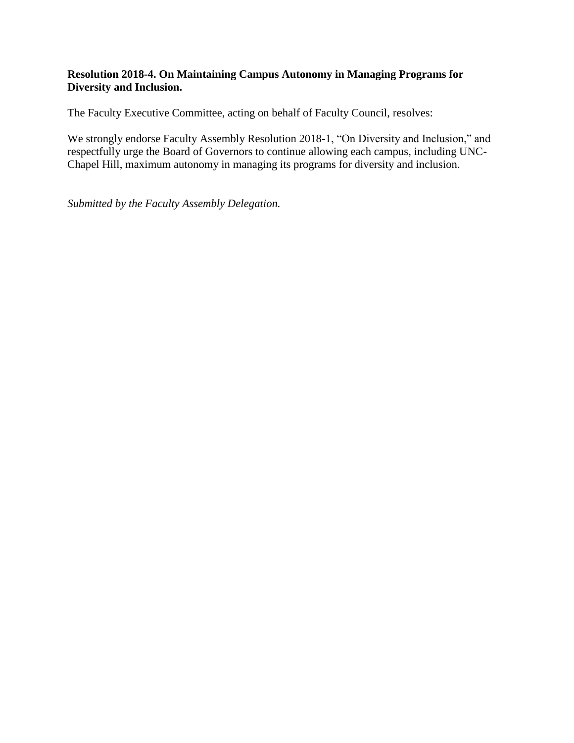## **Resolution 2018-4. On Maintaining Campus Autonomy in Managing Programs for Diversity and Inclusion.**

The Faculty Executive Committee, acting on behalf of Faculty Council, resolves:

We strongly endorse Faculty Assembly Resolution 2018-1, "On Diversity and Inclusion," and respectfully urge the Board of Governors to continue allowing each campus, including UNC-Chapel Hill, maximum autonomy in managing its programs for diversity and inclusion.

*Submitted by the Faculty Assembly Delegation.*